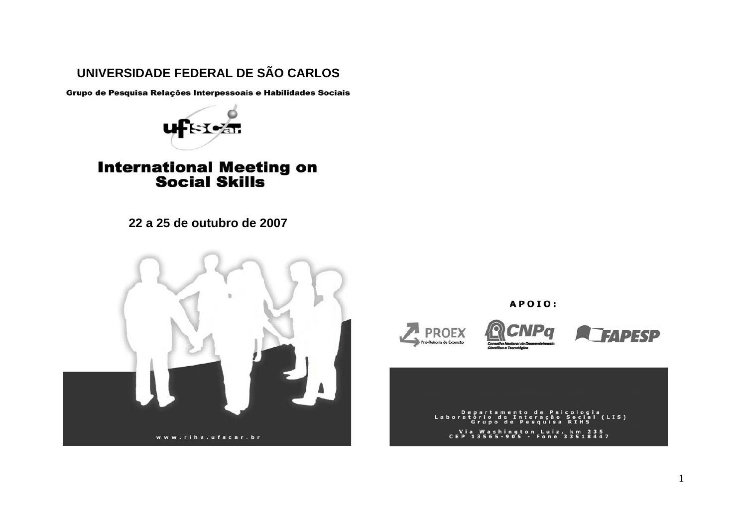## **UNIVERSIDADE FEDERAL DE SÃO CARLOS**

Grupo de Pesquisa Relações Interpessoais e Habilidades Sociais



# **International Meeting on<br>Social Skills**

**22 a 25 de outubro de 2007**



APOIO:



Departamento de Psi<br>ratório de Interação<br>Grupo de Pesquisa Psicologia<br>ção Social (  $(LIS)$ Labora Via Washington Luiz, km 235<br>CEP 13565-905 - Fone 33518447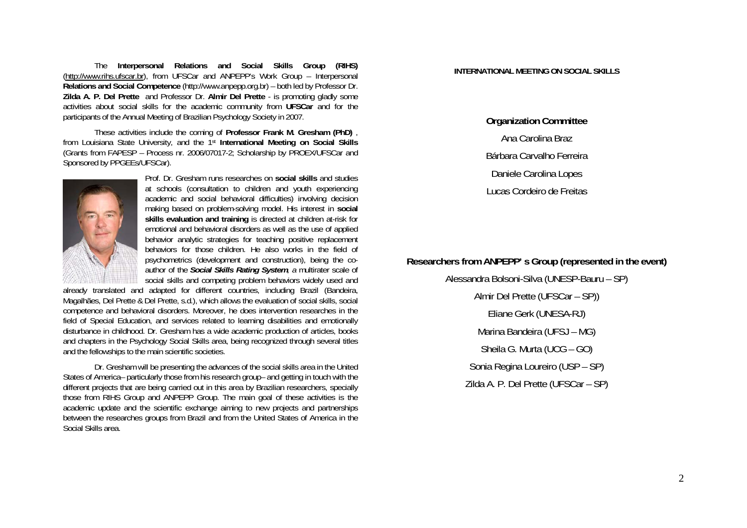The **Interpersonal Relations and Social Skills Group (RIHS)**  (http://www.rihs.ufscar.br), from UFSCar and ANPEPP's Work Group – Interpersonal **Relations and Social Competence** (http://www.anpepp.org.br) – both led by Professor Dr. **Zilda A. P. Del Prette** and Professor Dr. **Almir Del Prette** - is promoting gladly some activities about social skills for the academic community from **UFSCar** and for the participants of the Annual Meeting of Brazilian Psychology Society in 2007.

These activities include the coming of **Professor Frank M. Gresham (PhD)** , from Louisiana State University, and the 1st **International Meeting on Social Skills** (Grants from FAPESP – Process nr. 2006/07017-2; Scholarship by PROEX/UFSCar and Sponsored by PPGEEs/UFSCar).



Prof. Dr. Gresham runs researches on **social skills** and studies at schools (consultation to children and youth experiencing academic and social behavioral difficulties) involving decision making based on problem-solving model. His interest in **social skills evaluation and training** is directed at children at-risk for emotional and behavioral disorders as well as the use of applied behavior analytic strategies for teaching positive replacement behaviors for those children. He also works in the field of psychometrics (development and construction), being the coauthor of the *Social Skills Rating System, a* multirater scale of social skills and competing problem behaviors widely used and

already translated and adapted for different countries, including Brazil (Bandeira, Magalhães, Del Prette & Del Prette, s.d.), which allows the evaluation of social skills, social competence and behavioral disorders. Moreover, he does intervention researches in the field of Special Education, and services related to learning disabilities and emotionally disturbance in childhood. Dr. Gresham has a wide academic production of articles, books and chapters in the Psychology Social Skills area, being recognized through several titles and the fellowships to the main scientific societies.

Dr. Gresham will be presenting the advances of the social skills area in the United States of America– particularly those from his research group– and getting in touch with the different projects that are being carried out in this area by Brazilian researchers, specially those from RIHS Group and ANPEPP Group. The main goal of these activities is the academic update and the scientific exchange aiming to new projects and partnerships between the researches groups from Brazil and from the United States of America in the Social Skills area.

#### **INTERNATIONAL MEETING ON SOCIAL SKILLS**

**Organization Committee**  Ana Carolina Braz Bárbara Carvalho Ferreira Daniele Carolina Lopes Lucas Cordeiro de Freitas

## **Researchers from ANPEPP' s Group (represented in the event)**

Alessandra Bolsoni-Silva (UNESP-Bauru – SP) Almir Del Prette (UFSCar – SP)) Eliane Gerk (UNESA-RJ) Marina Bandeira (UFSJ – MG) Sheila G. Murta (UCG – GO) Sonia Regina Loureiro (USP – SP) Zilda A. P. Del Prette (UFSCar – SP)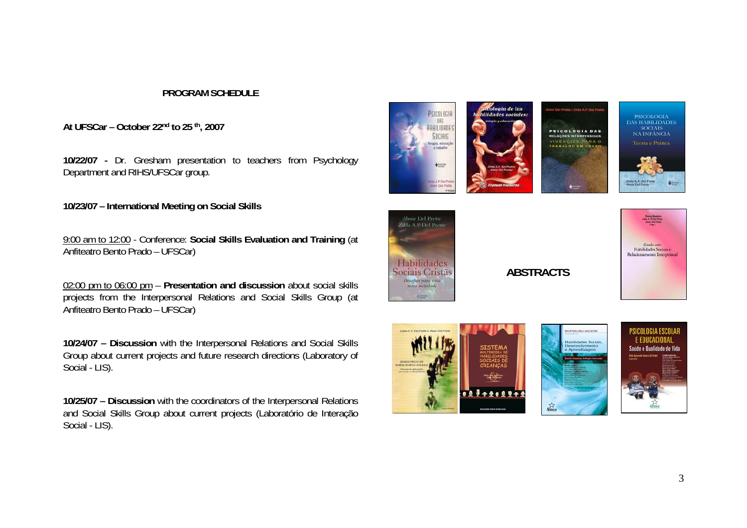## **PROGRAM SCHEDULE**

**At UFSCar – October 22nd to 25 th, 2007** 

**10/22/07 -** Dr. Gresham presentation to teachers from Psychology Department and RIHS/UFSCar group.

**10/23/07 – International Meeting on Social Skills** 

9:00 am to 12:00 - Conference: **Social Skills Evaluation and Training** (at Anfiteatro Bento Prado – UFSCar)

02:00 pm to 06:00 pm – **Presentation and discussion** about social skills projects from the Interpersonal Relations and Social Skills Group (at Anfiteatro Bento Prado – UFSCar)

**10/24/07 – Discussion** with the Interpersonal Relations and Social Skills Group about current projects and future research directions (Laboratory of Social - LIS).

**10/25/07 – Discussion** with the coordinators of the Interpersonal Relations and Social Skills Group about current projects (Laboratório de Interação Social - LIS).





**ABSTRACTS**







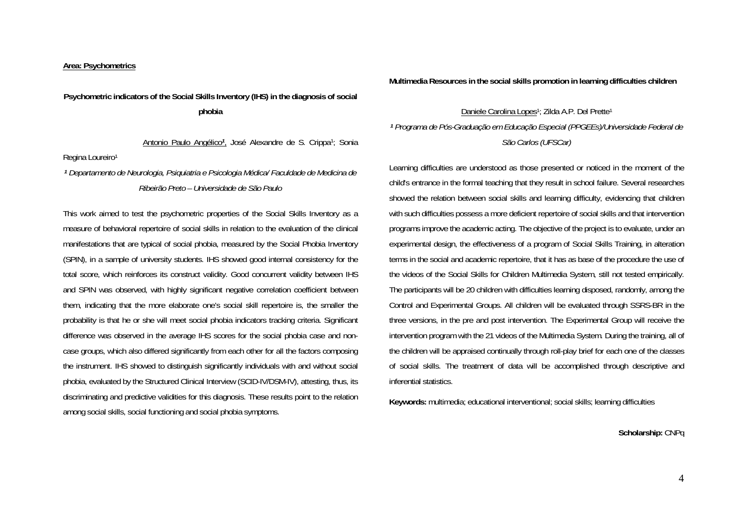#### **Area: Psychometrics**

## **Psychometric indicators of the Social Skills Inventory (IHS) in the diagnosis of social phobia**

Antonio Paulo Angélico*<sup>1</sup>*, José Alexandre de S. Crippa1; Sonia Regina Loureiro<sup>1</sup>

*<sup>1</sup> Departamento de Neurologia, Psiquiatria e Psicologia Médica/ Faculdade de Medicina de Ribeirão Preto – Universidade de São Paulo* 

This work aimed to test the psychometric properties of the Social Skills Inventory as a measure of behavioral repertoire of social skills in relation to the evaluation of the clinical manifestations that are typical of social phobia, measured by the Social Phobia Inventory (SPIN), in a sample of university students. IHS showed good internal consistency for the total score, which reinforces its construct validity. Good concurrent validity between IHS and SPIN was observed, with highly significant negative correlation coefficient between them, indicating that the more elaborate one's social skill repertoire is, the smaller the probability is that he or she will meet social phobia indicators tracking criteria. Significant difference was observed in the average IHS scores for the social phobia case and noncase groups, which also differed significantly from each other for all the factors composing the instrument. IHS showed to distinguish significantly individuals with and without social phobia, evaluated by the Structured Clinical Interview (SCID-IV/DSM-IV), attesting, thus, its discriminating and predictive validities for this diagnosis. These results point to the relation among social skills, social functioning and social phobia symptoms.

**Multimedia Resources in the social skills promotion in learning difficulties children** 

## Daniele Carolina Lopes<sup>1</sup>; Zilda A.P. Del Prette<sup>1</sup> *<sup>1</sup> Programa de Pós-Graduação em Educação Especial (PPGEEs)/Universidade Federal de São Carlos (UFSCar)*

Learning difficulties are understood as those presented or noticed in the moment of the child's entrance in the formal teaching that they result in school failure. Several researches showed the relation between social skills and learning difficulty, evidencing that children with such difficulties possess a more deficient repertoire of social skills and that intervention programs improve the academic acting. The objective of the project is to evaluate, under an experimental design, the effectiveness of a program of Social Skills Training, in alteration terms in the social and academic repertoire, that it has as base of the procedure the use of the videos of the Social Skills for Children Multimedia System, still not tested empirically. The participants will be 20 children with difficulties learning disposed, randomly, among the Control and Experimental Groups. All children will be evaluated through SSRS-BR in the three versions, in the pre and post intervention. The Experimental Group will receive the intervention program with the 21 videos of the Multimedia System. During the training, all of the children will be appraised continually through roll-play brief for each one of the classes of social skills. The treatment of data will be accomplished through descriptive and inferential statistics.

**Keywords:** multimedia; educational interventional; social skills; learning difficulties

**Scholarship:** CNPq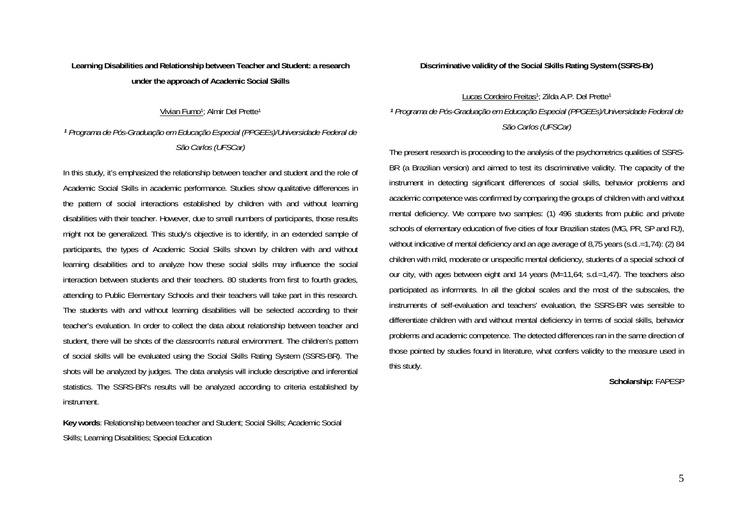## **Learning Disabilities and Relationship between Teacher and Student: a research under the approach of Academic Social Skills**

Vivian Fumo1; Almir Del Prette1

*<sup>1</sup> Programa de Pós-Graduação em Educação Especial (PPGEEs)/Universidade Federal de São Carlos (UFSCar)* 

In this study, it's emphasized the relationship between teacher and student and the role of Academic Social Skills in academic performance. Studies show qualitative differences in the pattern of social interactions established by children with and without learning disabilities with their teacher. However, due to small numbers of participants, those results might not be generalized. This study's objective is to identify, in an extended sample of participants, the types of Academic Social Skills shown by children with and without learning disabilities and to analyze how these social skills may influence the social interaction between students and their teachers. 80 students from first to fourth grades, attending to Public Elementary Schools and their teachers will take part in this research. The students with and without learning disabilities will be selected according to their teacher's evaluation. In order to collect the data about relationship between teacher and student, there will be shots of the classroom's natural environment. The children's pattern of social skills will be evaluated using the Social Skills Rating System (SSRS-BR). The shots will be analyzed by judges. The data analysis will include descriptive and inferential statistics. The SSRS-BR's results will be analyzed according to criteria established by instrument.

**Key words**: Relationship between teacher and Student; Social Skills; Academic Social Skills; Learning Disabilities; Special Education

**Discriminative validity of the Social Skills Rating System (SSRS-Br)** 

Lucas Cordeiro Freitas<sup>1</sup>; Zilda A.P. Del Prette<sup>1</sup> *<sup>1</sup> Programa de Pós-Graduação em Educação Especial (PPGEEs)/Universidade Federal de São Carlos (UFSCar)* 

The present research is proceeding to the analysis of the psychometrics qualities of SSRS-BR (a Brazilian version) and aimed to test its discriminative validity. The capacity of the instrument in detecting significant differences of social skills, behavior problems and academic competence was confirmed by comparing the groups of children with and without mental deficiency. We compare two samples: (1) 496 students from public and private schools of elementary education of five cities of four Brazilian states (MG, PR, SP and RJ), without indicative of mental deficiency and an age average of 8,75 years (s.d..=1,74): (2) 84 children with mild, moderate or unspecific mental deficiency, students of a special school of our city, with ages between eight and 14 years (M=11,64; s.d.=1,47). The teachers also participated as informants. In all the global scales and the most of the subscales, the instruments of self-evaluation and teachers' evaluation, the SSRS-BR was sensible to differentiate children with and without mental deficiency in terms of social skills, behavior problems and academic competence. The detected differences ran in the same direction of those pointed by studies found in literature, what confers validity to the measure used in this study.

#### **Scholarship:** FAPESP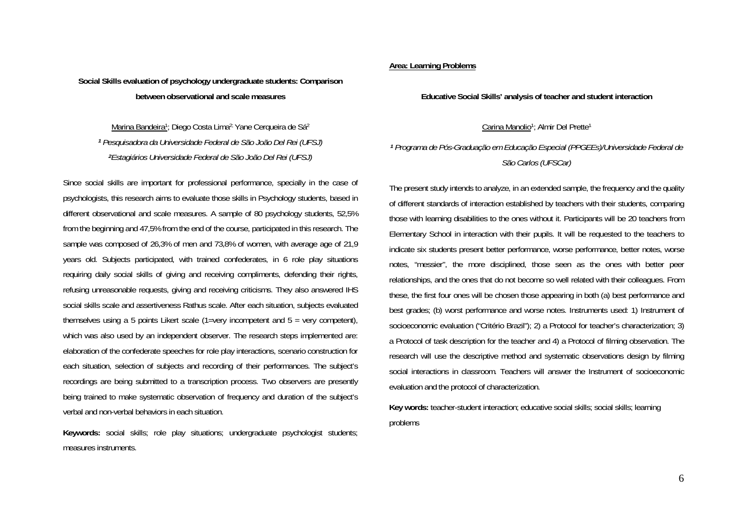## **Social Skills evaluation of psychology undergraduate students: Comparison between observational and scale measures**

Marina Bandeira<sup>1</sup>; Diego Costa Lima<sup>2;</sup> Yane Cerqueira de Sá<sup>2</sup> *<sup>1</sup> Pesquisadora da Universidade Federal de São João Del Rei (UFSJ) <sup>2</sup>Estagiários Universidade Federal de São João Del Rei (UFSJ)* 

Since social skills are important for professional performance, specially in the case of psychologists, this research aims to evaluate those skills in Psychology students, based in different observational and scale measures. A sample of 80 psychology students, 52,5% from the beginning and 47,5% from the end of the course, participated in this research. The sample was composed of 26,3% of men and 73,8% of women, with average age of 21,9 years old. Subjects participated, with trained confederates, in 6 role play situations requiring daily social skills of giving and receiving compliments, defending their rights, refusing unreasonable requests, giving and receiving criticisms. They also answered IHS social skills scale and assertiveness Rathus scale. After each situation, subjects evaluated themselves using a 5 points Likert scale (1=very incompetent and 5 = very competent), which was also used by an independent observer. The research steps implemented are: elaboration of the confederate speeches for role play interactions, scenario construction for each situation, selection of subjects and recording of their performances. The subject's recordings are being submitted to a transcription process. Two observers are presently being trained to make systematic observation of frequency and duration of the subject's verbal and non-verbal behaviors in each situation.

**Keywords:** social skills; role play situations; undergraduate psychologist students; measures instruments.

#### **Area: Learning Problems**

#### **Educative Social Skills' analysis of teacher and student interaction**

Carina Manolio<sup>1</sup>; Almir Del Prette<sup>1</sup>

## *<sup>1</sup> Programa de Pós-Graduação em Educação Especial (PPGEEs)/Universidade Federal de São Carlos (UFSCar)*

The present study intends to analyze, in an extended sample, the frequency and the quality of different standards of interaction established by teachers with their students, comparing those with learning disabilities to the ones without it. Participants will be 20 teachers from Elementary School in interaction with their pupils. It will be requested to the teachers to indicate six students present better performance, worse performance, better notes, worse notes, "messier", the more disciplined, those seen as the ones with better peer relationships, and the ones that do not become so well related with their colleagues. From these, the first four ones will be chosen those appearing in both (a) best performance and best grades; (b) worst performance and worse notes. Instruments used: 1) Instrument of socioeconomic evaluation ("Critério Brazil"); 2) a Protocol for teacher's characterization; 3) a Protocol of task description for the teacher and 4) a Protocol of filming observation. The research will use the descriptive method and systematic observations design by filming social interactions in classroom. Teachers will answer the Instrument of socioeconomic evaluation and the protocol of characterization.

**Key words:** teacher-student interaction; educative social skills; social skills; learning problems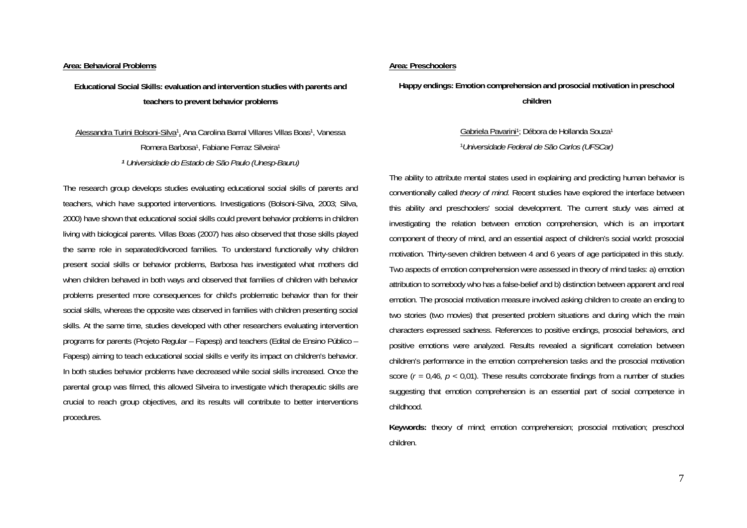#### **Area: Behavioral Problems**

**Educational Social Skills: evaluation and intervention studies with parents and teachers to prevent behavior problems** 

Alessandra Turini Bolsoni-Silva1, Ana Carolina Barral Villares Villas Boas1, Vanessa Romera Barbosa1, Fabiane Ferraz Silveira1 *<sup>1</sup> Universidade do Estado de São Paulo (Unesp-Bauru)*

The research group develops studies evaluating educational social skills of parents and teachers, which have supported interventions. Investigations (Bolsoni-Silva, 2003; Silva, 2000) have shown that educational social skills could prevent behavior problems in children living with biological parents. Villas Boas (2007) has also observed that those skills played the same role in separated/divorced families. To understand functionally why children present social skills or behavior problems, Barbosa has investigated what mothers did when children behaved in both ways and observed that families of children with behavior problems presented more consequences for child's problematic behavior than for their social skills, whereas the opposite was observed in families with children presenting social skills. At the same time, studies developed with other researchers evaluating intervention programs for parents (Projeto Regular – Fapesp) and teachers (Edital de Ensino Público – Fapesp) aiming to teach educational social skills e verify its impact on children's behavior. In both studies behavior problems have decreased while social skills increased. Once the parental group was filmed, this allowed Silveira to investigate which therapeutic skills are crucial to reach group objectives, and its results will contribute to better interventions procedures.

#### **Area: Preschoolers**

**Happy endings: Emotion comprehension and prosocial motivation in preschool children** 

> Gabriela Pavarini<sup>1</sup>; Débora de Hollanda Souza<sup>1</sup> <sup>1</sup>*Universidade Federal de São Carlos (UFSCar)*

The ability to attribute mental states used in explaining and predicting human behavior is conventionally called *theory of mind*. Recent studies have explored the interface between this ability and preschoolers' social development. The current study was aimed at investigating the relation between emotion comprehension, which is an important component of theory of mind, and an essential aspect of children's social world: prosocial motivation. Thirty-seven children between 4 and 6 years of age participated in this study. Two aspects of emotion comprehension were assessed in theory of mind tasks: a) emotion attribution to somebody who has a false-belief and b) distinction between apparent and real emotion. The prosocial motivation measure involved asking children to create an ending to two stories (two movies) that presented problem situations and during which the main characters expressed sadness. References to positive endings, prosocial behaviors, and positive emotions were analyzed. Results revealed a significant correlation between children's performance in the emotion comprehension tasks and the prosocial motivation score ( $r = 0.46$ ,  $p < 0.01$ ). These results corroborate findings from a number of studies suggesting that emotion comprehension is an essential part of social competence in childhood.

**Keywords:** theory of mind; emotion comprehension; prosocial motivation; preschool children.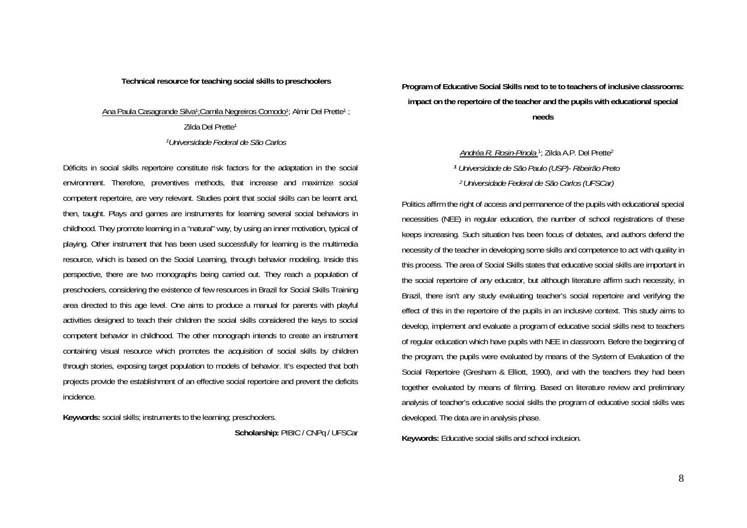## **Technical resource for teaching social skills to preschoolers**

## Ana Paula Casagrande Silva<sup>1</sup>; Camila Negreiros Comodo<sup>1</sup>; Almir Del Prette<sup>1</sup>; Zilda Del Prette1 *1Universidade Federal de São Carlos*

Déficits in social skills repertoire constitute risk factors for the adaptation in the social environment. Therefore, preventives methods, that increase and maximize social competent repertoire, are very relevant. Studies point that social skills can be learnt and, then, taught. Plays and games are instruments for learning several social behaviors in childhood. They promote learning in a "natural" way, by using an inner motivation, typical of playing. Other instrument that has been used successfully for learning is the multimedia resource, which is based on the Social Learning, through behavior modeling. Inside this perspective, there are two monographs being carried out. They reach a population of preschoolers, considering the existence of few resources in Brazil for Social Skills Training area directed to this age level. One aims to produce a manual for parents with playful activities designed to teach their children the social skills considered the keys to social competent behavior in childhood. The other monograph intends to create an instrument containing visual resource which promotes the acquisition of social skills by children through stories, exposing target population to models of behavior. It's expected that both projects provide the establishment of an effective social repertoire and prevent the deficits incidence.

**Keywords:** social skills; instruments to the learning; preschoolers.

Scholarship: PIBIC / CNPq / UFSCar

**Program of Educative Social Skills next to te to teachers of inclusive classrooms: impact on the repertoire of the teacher and the pupils with educational special needs** 

> *Andréa R. Rosin-Pinola* 1; Zilda A.P. Del Prette2 *<sup>1</sup> Universidade de São Paulo (USP)- Ribeirão Preto 2 Universidade Federal de São Carlos (UFSCar)*

Politics affirm the right of access and permanence of the pupils with educational special necessities (NEE) in regular education, the number of school registrations of these keeps increasing. Such situation has been focus of debates, and authors defend the necessity of the teacher in developing some skills and competence to act with quality in this process. The area of Social Skills states that educative social skills are important in the social repertoire of any educator, but although literature affirm such necessity, in Brazil, there isn't any study evaluating teacher's social repertoire and verifying the effect of this in the repertoire of the pupils in an inclusive context. This study aims to develop, implement and evaluate a program of educative social skills next to teachers of regular education which have pupils with NEE in classroom. Before the beginning of the program, the pupils were evaluated by means of the System of Evaluation of the Social Repertoire (Gresham & Elliott, 1990), and with the teachers they had been together evaluated by means of filming. Based on literature review and preliminary analysis of teacher's educative social skills the program of educative social skills was developed. The data are in analysis phase.

**Keywords:** Educative social skills and school inclusion.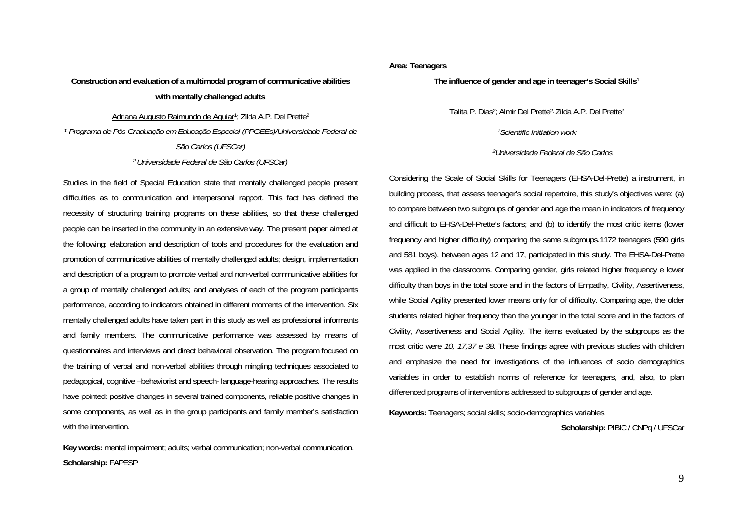## **Construction and evaluation of a multimodal program of communicative abilities with mentally challenged adults**

Adriana Augusto Raimundo de Aguiar1; Zilda A.P. Del Prette2 *<sup>1</sup> Programa de Pós-Graduação em Educação Especial (PPGEEs)/Universidade Federal de São Carlos (UFSCar) 2 Universidade Federal de São Carlos (UFSCar)* 

Studies in the field of Special Education state that mentally challenged people present difficulties as to communication and interpersonal rapport. This fact has defined the necessity of structuring training programs on these abilities, so that these challenged people can be inserted in the community in an extensive way. The present paper aimed at the following: elaboration and description of tools and procedures for the evaluation and promotion of communicative abilities of mentally challenged adults; design, implementation and description of a program to promote verbal and non-verbal communicative abilities for a group of mentally challenged adults; and analyses of each of the program participants performance, according to indicators obtained in different moments of the intervention. Six mentally challenged adults have taken part in this study as well as professional informants and family members. The communicative performance was assessed by means of questionnaires and interviews and direct behavioral observation. The program focused on the training of verbal and non-verbal abilities through mingling techniques associated to pedagogical, cognitive –behaviorist and speech- language-hearing approaches. The results have pointed: positive changes in several trained components, reliable positive changes in some components, as well as in the group participants and family member's satisfaction with the intervention.

**Key words:** mental impairment; adults; verbal communication; non-verbal communication. **Scholarship:** FAPESP

## **Area: Teenagers**

**The influence of gender and age in teenager's Social Skills**<sup>1</sup>

Talita P. Dias2; Almir Del Prette2; Zilda A.P. Del Prette2

*1Scientific Initiation work*

*2Universidade Federal de São Carlos* 

Considering the Scale of Social Skills for Teenagers (EHSA-Del-Prette) a instrument, in building process, that assess teenager's social repertoire, this study's objectives were: (a) to compare between two subgroups of gender and age the mean in indicators of frequency and difficult to EHSA-Del-Prette's factors; and (b) to identify the most critic items (lower frequency and higher difficulty) comparing the same subgroups.1172 teenagers (590 girls and 581 boys), between ages 12 and 17, participated in this study. The EHSA-Del-Prette was applied in the classrooms. Comparing gender, girls related higher frequency e lower difficulty than boys in the total score and in the factors of Empathy, Civility, Assertiveness, while Social Agility presented lower means only for of difficulty. Comparing age, the older students related higher frequency than the younger in the total score and in the factors of Civility, Assertiveness and Social Agility. The items evaluated by the subgroups as the most critic were *10, 17,37 e 38.* These findings agree with previous studies with children and emphasize the need for investigations of the influences of socio demographics variables in order to establish norms of reference for teenagers, and, also, to plan differenced programs of interventions addressed to subgroups of gender and age.

**Keywords:** Teenagers; social skills; socio-demographics variables

Scholarship: PIBIC / CNPq / UFSCar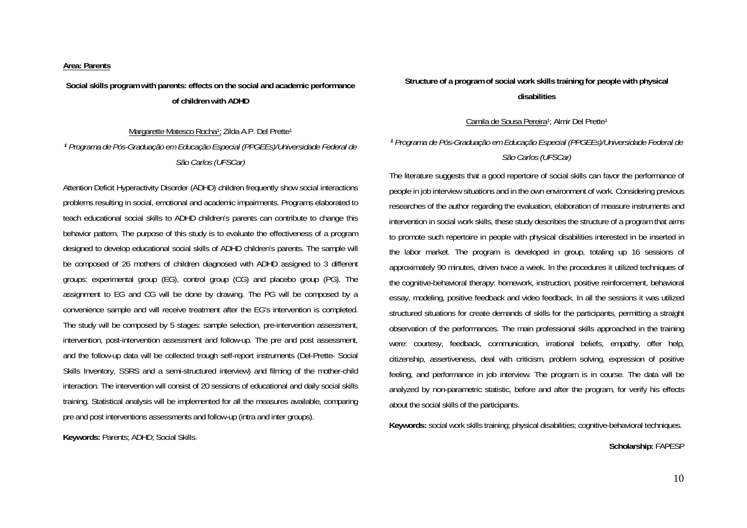#### **Area: Parents**

**Social skills program with parents: effects on the social and academic performance of children with ADHD** 

Margarette Matesco Rocha<sup>1</sup>; Zilda A.P. Del Prette<sup>1</sup> *<sup>1</sup> Programa de Pós-Graduação em Educação Especial (PPGEEs)/Universidade Federal de São Carlos (UFSCar)* 

Attention Deficit Hyperactivity Disorder (ADHD) children frequently show social interactions problems resulting in social, emotional and academic impairments. Programs elaborated to teach educational social skills to ADHD children's parents can contribute to change this behavior pattern. The purpose of this study is to evaluate the effectiveness of a program designed to develop educational social skills of ADHD children's parents. The sample will be composed of 26 mothers of children diagnosed with ADHD assigned to 3 different groups: experimental group (EG), control group (CG) and placebo group (PG). The assignment to EG and CG will be done by drawing. The PG will be composed by a convenience sample and will receive treatment after the EG's intervention is completed. The study will be composed by 5 stages: sample selection, pre-intervention assessment, intervention, post-intervention assessment and follow-up. The pre and post assessment, and the follow-up data will be collected trough self-report instruments (Del-Prette- Social Skills Inventory, SSRS and a semi-structured interview) and filming of the mother-child interaction. The intervention will consist of 20 sessions of educational and daily social skills training. Statistical analysis will be implemented for all the measures available, comparing pre and post interventions assessments and follow-up (intra and inter groups).

**Keywords:** Parents; ADHD; Social Skills.

## **Structure of a program of social work skills training for people with physical disabilities**

Camila de Sousa Pereira<sup>1</sup>; Almir Del Prette<sup>1</sup>

## *<sup>1</sup> Programa de Pós-Graduação em Educação Especial (PPGEEs)/Universidade Federal de São Carlos (UFSCar)*

The literature suggests that a good repertoire of social skills can favor the performance of people in job interview situations and in the own environment of work. Considering previous researches of the author regarding the evaluation, elaboration of measure instruments and intervention in social work skills, these study describes the structure of a program that aims to promote such repertoire in people with physical disabilities interested in be inserted in the labor market. The program is developed in group, totaling up 16 sessions of approximately 90 minutes, driven twice a week. In the procedures it utilized techniques of the cognitive-behavioral therapy: homework, instruction, positive reinforcement, behavioral essay, modeling, positive feedback and video feedback. In all the sessions it was utilized structured situations for create demands of skills for the participants, permitting a straight observation of the performances. The main professional skills approached in the training were: courtesy, feedback, communication, irrational beliefs, empathy, offer help, citizenship, assertiveness, deal with criticism, problem solving, expression of positive feeling, and performance in job interview. The program is in course. The data will be analyzed by non-parametric statistic, before and after the program, for verify his effects about the social skills of the participants.

**Keywords:** social work skills training; physical disabilities; cognitive-behavioral techniques.

**Scholarship:** FAPESP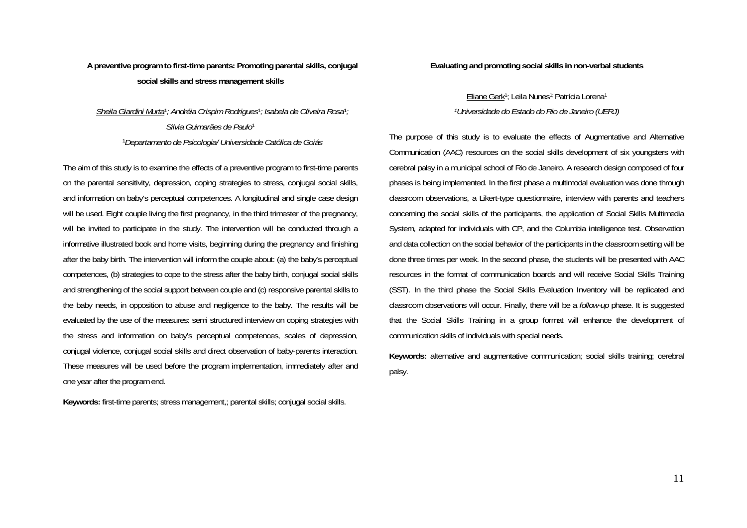## **A preventive program to first-time parents: Promoting parental skills, conjugal social skills and stress management skills**

## *Sheila Giardini Murta*1*; Andréia Crispim Rodrigues*1*; Isabela de Oliveira Rosa*<sup>1</sup>*; Silvia Guimarães de Paulo*<sup>1</sup> <sup>1</sup>*Departamento de Psicologia/ Universidade Católica de Goiás*

The aim of this study is to examine the effects of a preventive program to first-time parents on the parental sensitivity, depression, coping strategies to stress, conjugal social skills, and information on baby's perceptual competences. A longitudinal and single case design will be used. Eight couple living the first pregnancy, in the third trimester of the pregnancy, will be invited to participate in the study. The intervention will be conducted through a informative illustrated book and home visits, beginning during the pregnancy and finishing after the baby birth. The intervention will inform the couple about: (a) the baby's perceptual competences, (b) strategies to cope to the stress after the baby birth, conjugal social skills and strengthening of the social support between couple and (c) responsive parental skills to the baby needs, in opposition to abuse and negligence to the baby. The results will be evaluated by the use of the measures: semi structured interview on coping strategies with the stress and information on baby's perceptual competences, scales of depression, conjugal violence, conjugal social skills and direct observation of baby-parents interaction. These measures will be used before the program implementation, immediately after and one year after the program end.

**Keywords:** first-time parents; stress management,; parental skills; conjugal social skills.

**Evaluating and promoting social skills in non-verbal students** 

Eliane Gerk<sup>1</sup>; Leila Nunes<sup>1;</sup> Patrícia Lorena<sup>1</sup> *1Universidade do Estado do Rio de Janeiro (UERJ)* 

The purpose of this study is to evaluate the effects of Augmentative and Alternative Communication (AAC) resources on the social skills development of six youngsters with cerebral palsy in a municipal school of Rio de Janeiro. A research design composed of four phases is being implemented. In the first phase a multimodal evaluation was done through classroom observations, a Likert-type questionnaire, interview with parents and teachers concerning the social skills of the participants, the application of Social Skills Multimedia System, adapted for individuals with CP, and the Columbia intelligence test. Observation and data collection on the social behavior of the participants in the classroom setting will be done three times per week. In the second phase, the students will be presented with AAC resources in the format of communication boards and will receive Social Skills Training (SST). In the third phase the Social Skills Evaluation Inventory will be replicated and classroom observations will occur. Finally, there will be a *follow-up* phase. It is suggested that the Social Skills Training in a group format will enhance the development of communication skills of individuals with special needs.

**Keywords:** alternative and augmentative communication; social skills training; cerebral palsy.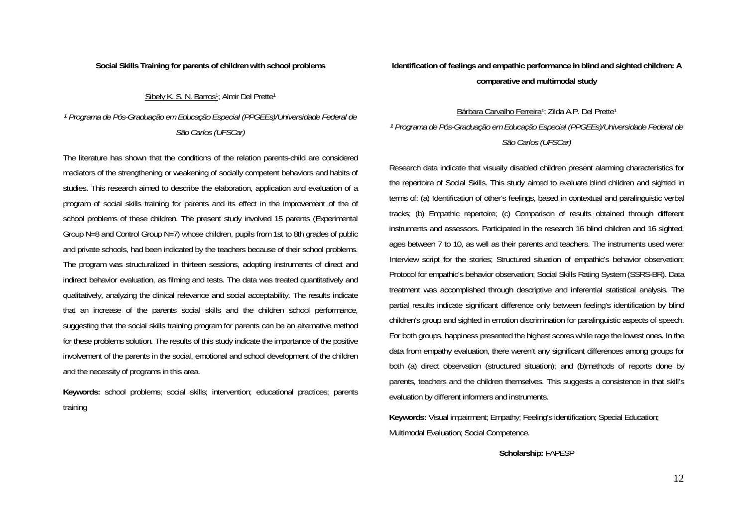#### **Social Skills Training for parents of children with school problems**

#### Sibely K. S. N. Barros<sup>1</sup>; Almir Del Prette<sup>1</sup>

*<sup>1</sup> Programa de Pós-Graduação em Educação Especial (PPGEEs)/Universidade Federal de São Carlos (UFSCar)* 

The literature has shown that the conditions of the relation parents-child are considered mediators of the strengthening or weakening of socially competent behaviors and habits of studies. This research aimed to describe the elaboration, application and evaluation of a program of social skills training for parents and its effect in the improvement of the of school problems of these children. The present study involved 15 parents (Experimental Group N=8 and Control Group N=7) whose children, pupils from 1st to 8th grades of public and private schools, had been indicated by the teachers because of their school problems. The program was structuralized in thirteen sessions, adopting instruments of direct and indirect behavior evaluation, as filming and tests. The data was treated quantitatively and qualitatively, analyzing the clinical relevance and social acceptability. The results indicate that an increase of the parents social skills and the children school performance, suggesting that the social skills training program for parents can be an alternative method for these problems solution. The results of this study indicate the importance of the positive involvement of the parents in the social, emotional and school development of the children and the necessity of programs in this area.

**Keywords:** school problems; social skills; intervention; educational practices; parents training

**Identification of feelings and empathic performance in blind and sighted children: A comparative and multimodal study** 

## Bárbara Carvalho Ferreira<sup>1</sup>; Zilda A.P. Del Prette<sup>1</sup> *<sup>1</sup> Programa de Pós-Graduação em Educação Especial (PPGEEs)/Universidade Federal de São Carlos (UFSCar)*

Research data indicate that visually disabled children present alarming characteristics for the repertoire of Social Skills. This study aimed to evaluate blind children and sighted in terms of: (a) Identification of other's feelings, based in contextual and paralinguistic verbal tracks; (b) Empathic repertoire; (c) Comparison of results obtained through different instruments and assessors. Participated in the research 16 blind children and 16 sighted, ages between 7 to 10, as well as their parents and teachers. The instruments used were: Interview script for the stories; Structured situation of empathic's behavior observation; Protocol for empathic's behavior observation; Social Skills Rating System (SSRS-BR). Data treatment was accomplished through descriptive and inferential statistical analysis. The partial results indicate significant difference only between feeling's identification by blind children's group and sighted in emotion discrimination for paralinguistic aspects of speech. For both groups, happiness presented the highest scores while rage the lowest ones. In the data from empathy evaluation, there weren't any significant differences among groups for both (a) direct observation (structured situation); and (b)methods of reports done by parents, teachers and the children themselves. This suggests a consistence in that skill's evaluation by different informers and instruments.

**Keywords:** Visual impairment; Empathy; Feeling's identification; Special Education; Multimodal Evaluation; Social Competence.

**Scholarship:** FAPESP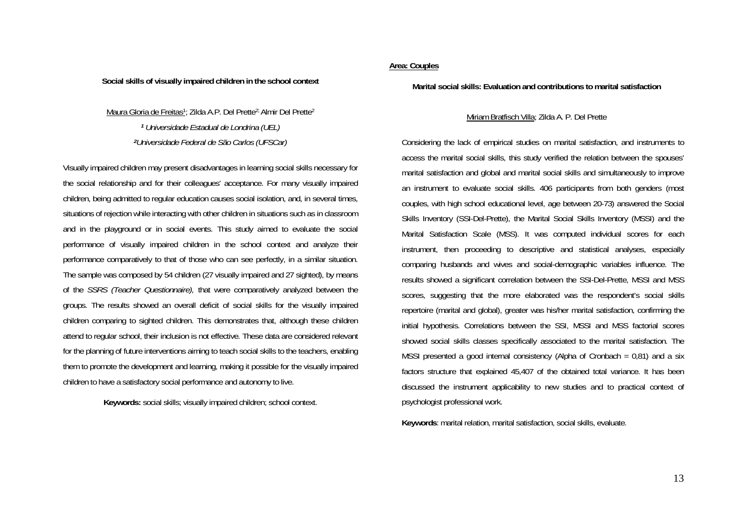#### **Social skills of visually impaired children in the school context**

Maura Gloria de Freitas1; Zilda A.P. Del Prette2; Almir Del Prette2 *<sup>1</sup> Universidade Estadual de Londrina (UEL) <sup>2</sup>Universidade Federal de São Carlos (UFSCar)* 

Visually impaired children may present disadvantages in learning social skills necessary for the social relationship and for their colleagues' acceptance. For many visually impaired children, being admitted to regular education causes social isolation, and, in several times, situations of rejection while interacting with other children in situations such as in classroom and in the playground or in social events. This study aimed to evaluate the social performance of visually impaired children in the school context and analyze their performance comparatively to that of those who can see perfectly, in a similar situation. The sample was composed by 54 children (27 visually impaired and 27 sighted), by means of the *SSRS (Teacher Questionnaire),* that were comparatively analyzed between the groups. The results showed an overall deficit of social skills for the visually impaired children comparing to sighted children. This demonstrates that, although these children attend to regular school, their inclusion is not effective. These data are considered relevant for the planning of future interventions aiming to teach social skills to the teachers, enabling them to promote the development and learning, making it possible for the visually impaired children to have a satisfactory social performance and autonomy to live.

**Keywords:** social skills; visually impaired children; school context.

## **Area: Couples**

**Marital social skills: Evaluation and contributions to marital satisfaction** 

## Miriam Bratfisch Villa; Zilda A. P. Del Prette

Considering the lack of empirical studies on marital satisfaction, and instruments to access the marital social skills, this study verified the relation between the spouses' marital satisfaction and global and marital social skills and simultaneously to improve an instrument to evaluate social skills. 406 participants from both genders (most couples, with high school educational level, age between 20-73) answered the Social Skills Inventory (SSI-Del-Prette), the Marital Social Skills Inventory (MSSI) and the Marital Satisfaction Scale (MSS). It was computed individual scores for each instrument, then proceeding to descriptive and statistical analyses, especially comparing husbands and wives and social-demographic variables influence. The results showed a significant correlation between the SSI-Del-Prette, MSSI and MSS scores, suggesting that the more elaborated was the respondent's social skills repertoire (marital and global), greater was his/her marital satisfaction, confirming the initial hypothesis. Correlations between the SSI, MSSI and MSS factorial scores showed social skills classes specifically associated to the marital satisfaction. The MSSI presented a good internal consistency (Alpha of Cronbach = 0,81) and a six factors structure that explained 45,407 of the obtained total variance. It has been discussed the instrument applicability to new studies and to practical context of psychologist professional work.

**Keywords**: marital relation, marital satisfaction, social skills, evaluate.